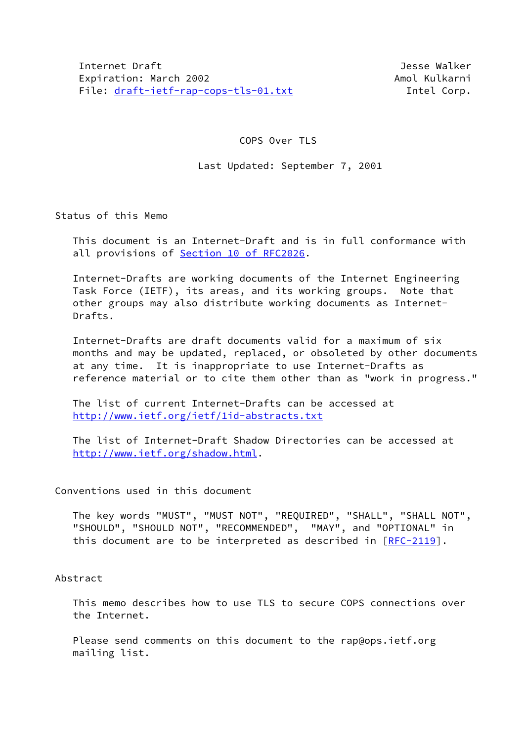# COPS Over TLS

# Last Updated: September 7, 2001

Status of this Memo

 This document is an Internet-Draft and is in full conformance with all provisions of Section [10 of RFC2026.](https://datatracker.ietf.org/doc/pdf/rfc2026#section-10)

 Internet-Drafts are working documents of the Internet Engineering Task Force (IETF), its areas, and its working groups. Note that other groups may also distribute working documents as Internet- Drafts.

 Internet-Drafts are draft documents valid for a maximum of six months and may be updated, replaced, or obsoleted by other documents at any time. It is inappropriate to use Internet-Drafts as reference material or to cite them other than as "work in progress."

 The list of current Internet-Drafts can be accessed at <http://www.ietf.org/ietf/1id-abstracts.txt>

 The list of Internet-Draft Shadow Directories can be accessed at <http://www.ietf.org/shadow.html>.

# Conventions used in this document

 The key words "MUST", "MUST NOT", "REQUIRED", "SHALL", "SHALL NOT", "SHOULD", "SHOULD NOT", "RECOMMENDED", "MAY", and "OPTIONAL" in this document are to be interpreted as described in  $[RFC-2119]$  $[RFC-2119]$ .

#### Abstract

 This memo describes how to use TLS to secure COPS connections over the Internet.

Please send comments on this document to the rap@ops.ietf.org mailing list.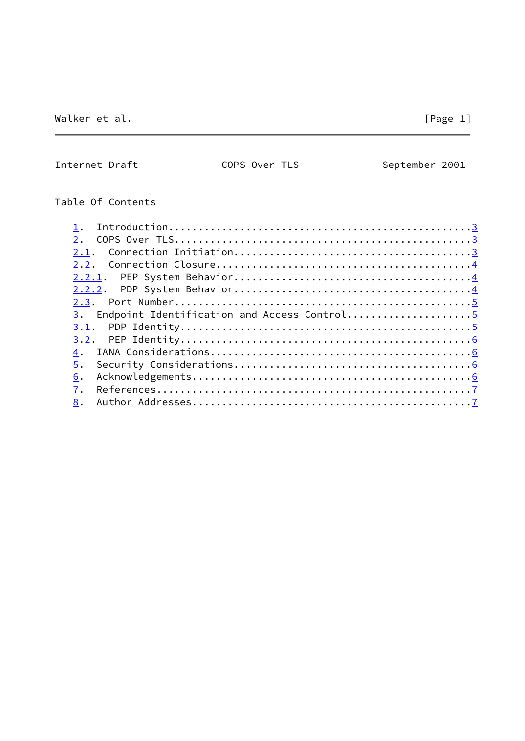Internet Draft COPS Over TLS September 2001

# Table Of Contents

| 2.                                                |
|---------------------------------------------------|
| 2.1.                                              |
| 2.2.                                              |
|                                                   |
| 2.2.2.                                            |
|                                                   |
| Endpoint Identification and Access Control5<br>3. |
| 3.1.                                              |
| 3.2.                                              |
| 4.                                                |
| 5.                                                |
| 6.                                                |
| 7.                                                |
| 8.                                                |
|                                                   |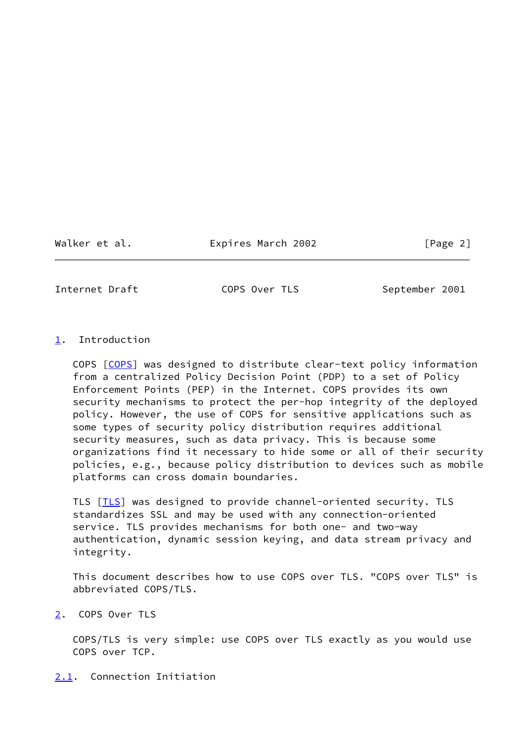Walker et al. **Expires March 2002** [Page 2]

<span id="page-2-1"></span>Internet Draft COPS Over TLS September 2001

<span id="page-2-0"></span>[1](#page-2-0). Introduction

 COPS [\[COPS](#page-7-4)] was designed to distribute clear-text policy information from a centralized Policy Decision Point (PDP) to a set of Policy Enforcement Points (PEP) in the Internet. COPS provides its own security mechanisms to protect the per-hop integrity of the deployed policy. However, the use of COPS for sensitive applications such as some types of security policy distribution requires additional security measures, such as data privacy. This is because some organizations find it necessary to hide some or all of their security policies, e.g., because policy distribution to devices such as mobile platforms can cross domain boundaries.

 TLS [\[TLS](#page-7-5)] was designed to provide channel-oriented security. TLS standardizes SSL and may be used with any connection-oriented service. TLS provides mechanisms for both one- and two-way authentication, dynamic session keying, and data stream privacy and integrity.

 This document describes how to use COPS over TLS. "COPS over TLS" is abbreviated COPS/TLS.

<span id="page-2-2"></span>[2](#page-2-2). COPS Over TLS

 COPS/TLS is very simple: use COPS over TLS exactly as you would use COPS over TCP.

<span id="page-2-3"></span>[2.1](#page-2-3). Connection Initiation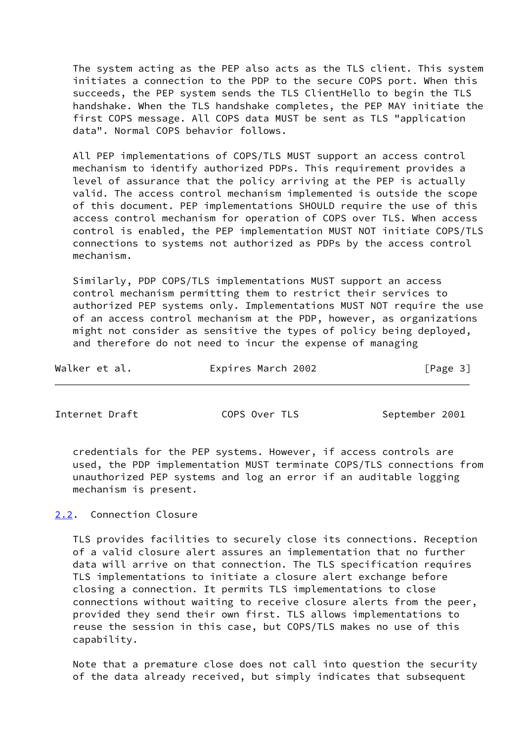The system acting as the PEP also acts as the TLS client. This system initiates a connection to the PDP to the secure COPS port. When this succeeds, the PEP system sends the TLS ClientHello to begin the TLS handshake. When the TLS handshake completes, the PEP MAY initiate the first COPS message. All COPS data MUST be sent as TLS "application data". Normal COPS behavior follows.

 All PEP implementations of COPS/TLS MUST support an access control mechanism to identify authorized PDPs. This requirement provides a level of assurance that the policy arriving at the PEP is actually valid. The access control mechanism implemented is outside the scope of this document. PEP implementations SHOULD require the use of this access control mechanism for operation of COPS over TLS. When access control is enabled, the PEP implementation MUST NOT initiate COPS/TLS connections to systems not authorized as PDPs by the access control mechanism.

 Similarly, PDP COPS/TLS implementations MUST support an access control mechanism permitting them to restrict their services to authorized PEP systems only. Implementations MUST NOT require the use of an access control mechanism at the PDP, however, as organizations might not consider as sensitive the types of policy being deployed, and therefore do not need to incur the expense of managing

| Walker et al. | Expires March 2002 | [Page 3] |  |
|---------------|--------------------|----------|--|
|               |                    |          |  |

<span id="page-3-1"></span>Internet Draft COPS Over TLS September 2001

 credentials for the PEP systems. However, if access controls are used, the PDP implementation MUST terminate COPS/TLS connections from unauthorized PEP systems and log an error if an auditable logging mechanism is present.

# <span id="page-3-0"></span>[2.2](#page-3-0). Connection Closure

 TLS provides facilities to securely close its connections. Reception of a valid closure alert assures an implementation that no further data will arrive on that connection. The TLS specification requires TLS implementations to initiate a closure alert exchange before closing a connection. It permits TLS implementations to close connections without waiting to receive closure alerts from the peer, provided they send their own first. TLS allows implementations to reuse the session in this case, but COPS/TLS makes no use of this capability.

 Note that a premature close does not call into question the security of the data already received, but simply indicates that subsequent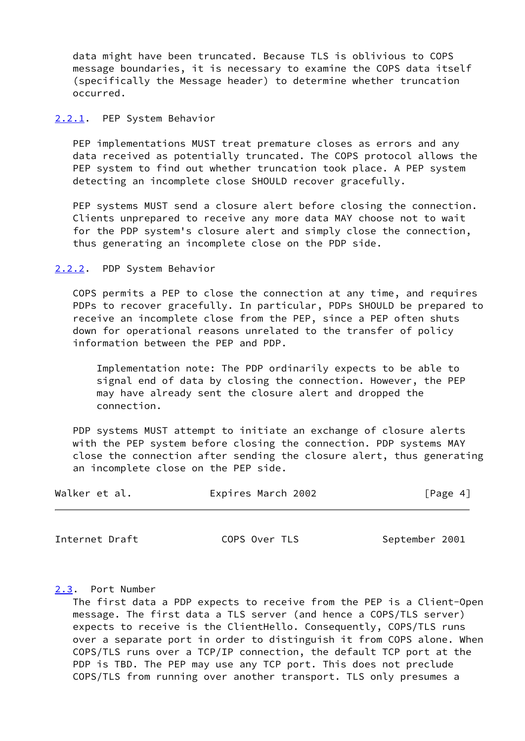data might have been truncated. Because TLS is oblivious to COPS message boundaries, it is necessary to examine the COPS data itself (specifically the Message header) to determine whether truncation occurred.

<span id="page-4-0"></span>[2.2.1](#page-4-0). PEP System Behavior

 PEP implementations MUST treat premature closes as errors and any data received as potentially truncated. The COPS protocol allows the PEP system to find out whether truncation took place. A PEP system detecting an incomplete close SHOULD recover gracefully.

PEP systems MUST send a closure alert before closing the connection. Clients unprepared to receive any more data MAY choose not to wait for the PDP system's closure alert and simply close the connection, thus generating an incomplete close on the PDP side.

<span id="page-4-1"></span>[2.2.2](#page-4-1). PDP System Behavior

 COPS permits a PEP to close the connection at any time, and requires PDPs to recover gracefully. In particular, PDPs SHOULD be prepared to receive an incomplete close from the PEP, since a PEP often shuts down for operational reasons unrelated to the transfer of policy information between the PEP and PDP.

 Implementation note: The PDP ordinarily expects to be able to signal end of data by closing the connection. However, the PEP may have already sent the closure alert and dropped the connection.

 PDP systems MUST attempt to initiate an exchange of closure alerts with the PEP system before closing the connection. PDP systems MAY close the connection after sending the closure alert, thus generating an incomplete close on the PEP side.

| Walker et al. | Expires March 2002 | [Page 4] |
|---------------|--------------------|----------|
|               |                    |          |

<span id="page-4-3"></span>Internet Draft COPS Over TLS September 2001

<span id="page-4-2"></span>[2.3](#page-4-2). Port Number

 The first data a PDP expects to receive from the PEP is a Client-Open message. The first data a TLS server (and hence a COPS/TLS server) expects to receive is the ClientHello. Consequently, COPS/TLS runs over a separate port in order to distinguish it from COPS alone. When COPS/TLS runs over a TCP/IP connection, the default TCP port at the PDP is TBD. The PEP may use any TCP port. This does not preclude COPS/TLS from running over another transport. TLS only presumes a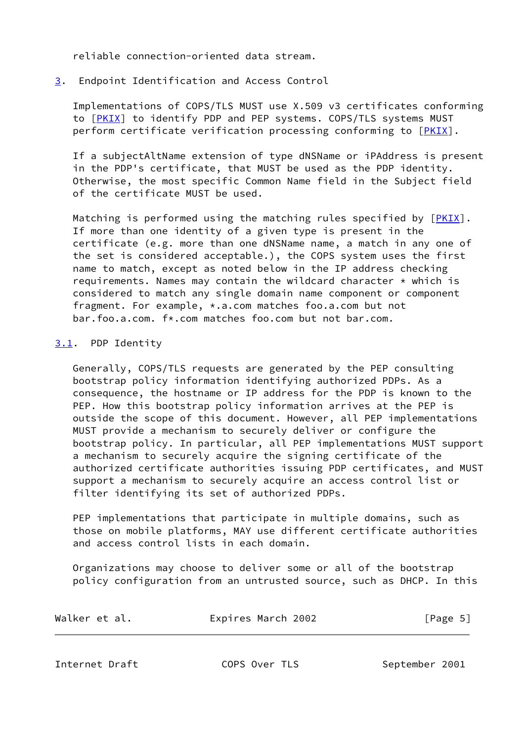reliable connection-oriented data stream.

# <span id="page-5-0"></span>[3](#page-5-0). Endpoint Identification and Access Control

 Implementations of COPS/TLS MUST use X.509 v3 certificates conforming to [[PKIX\]](#page-7-6) to identify PDP and PEP systems. COPS/TLS systems MUST perform certificate verification processing conforming to [[PKIX\]](#page-7-6).

 If a subjectAltName extension of type dNSName or iPAddress is present in the PDP's certificate, that MUST be used as the PDP identity. Otherwise, the most specific Common Name field in the Subject field of the certificate MUST be used.

Matching is performed using the matching rules specified by [\[PKIX](#page-7-6)]. If more than one identity of a given type is present in the certificate (e.g. more than one dNSName name, a match in any one of the set is considered acceptable.), the COPS system uses the first name to match, except as noted below in the IP address checking requirements. Names may contain the wildcard character  $\star$  which is considered to match any single domain name component or component fragment. For example, \*.a.com matches foo.a.com but not bar.foo.a.com. f\*.com matches foo.com but not bar.com.

# <span id="page-5-1"></span>[3.1](#page-5-1). PDP Identity

 Generally, COPS/TLS requests are generated by the PEP consulting bootstrap policy information identifying authorized PDPs. As a consequence, the hostname or IP address for the PDP is known to the PEP. How this bootstrap policy information arrives at the PEP is outside the scope of this document. However, all PEP implementations MUST provide a mechanism to securely deliver or configure the bootstrap policy. In particular, all PEP implementations MUST support a mechanism to securely acquire the signing certificate of the authorized certificate authorities issuing PDP certificates, and MUST support a mechanism to securely acquire an access control list or filter identifying its set of authorized PDPs.

 PEP implementations that participate in multiple domains, such as those on mobile platforms, MAY use different certificate authorities and access control lists in each domain.

 Organizations may choose to deliver some or all of the bootstrap policy configuration from an untrusted source, such as DHCP. In this

| Walker et al. | Expires March 2002 | [Page 5] |
|---------------|--------------------|----------|
|               |                    |          |

<span id="page-5-2"></span>Internet Draft COPS Over TLS September 2001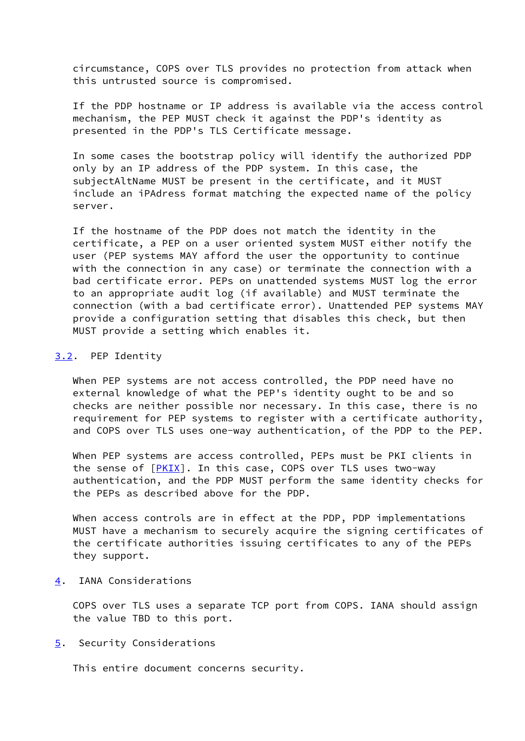circumstance, COPS over TLS provides no protection from attack when this untrusted source is compromised.

 If the PDP hostname or IP address is available via the access control mechanism, the PEP MUST check it against the PDP's identity as presented in the PDP's TLS Certificate message.

 In some cases the bootstrap policy will identify the authorized PDP only by an IP address of the PDP system. In this case, the subjectAltName MUST be present in the certificate, and it MUST include an iPAdress format matching the expected name of the policy server.

 If the hostname of the PDP does not match the identity in the certificate, a PEP on a user oriented system MUST either notify the user (PEP systems MAY afford the user the opportunity to continue with the connection in any case) or terminate the connection with a bad certificate error. PEPs on unattended systems MUST log the error to an appropriate audit log (if available) and MUST terminate the connection (with a bad certificate error). Unattended PEP systems MAY provide a configuration setting that disables this check, but then MUST provide a setting which enables it.

## <span id="page-6-0"></span>[3.2](#page-6-0). PEP Identity

 When PEP systems are not access controlled, the PDP need have no external knowledge of what the PEP's identity ought to be and so checks are neither possible nor necessary. In this case, there is no requirement for PEP systems to register with a certificate authority, and COPS over TLS uses one-way authentication, of the PDP to the PEP.

 When PEP systems are access controlled, PEPs must be PKI clients in the sense of  $[PKIX]$  $[PKIX]$ . In this case, COPS over TLS uses two-way authentication, and the PDP MUST perform the same identity checks for the PEPs as described above for the PDP.

 When access controls are in effect at the PDP, PDP implementations MUST have a mechanism to securely acquire the signing certificates of the certificate authorities issuing certificates to any of the PEPs they support.

# <span id="page-6-1"></span>[4](#page-6-1). IANA Considerations

 COPS over TLS uses a separate TCP port from COPS. IANA should assign the value TBD to this port.

## <span id="page-6-2"></span>[5](#page-6-2). Security Considerations

This entire document concerns security.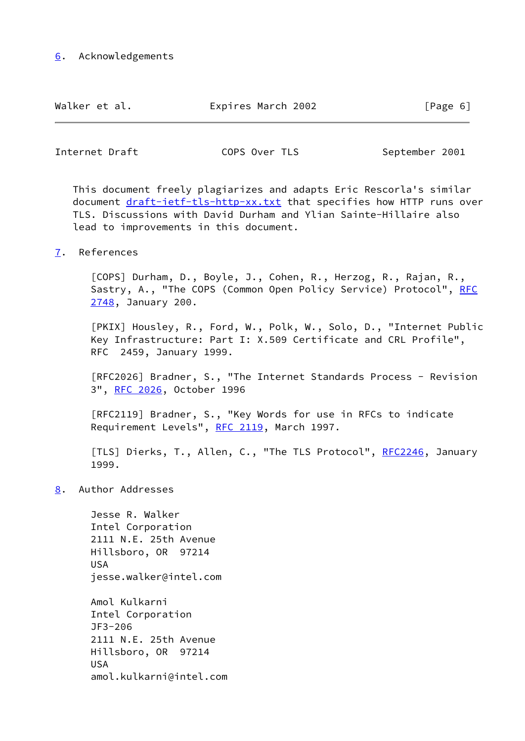<span id="page-7-0"></span>

| Walker et al.<br>Expires March 2002 |  |
|-------------------------------------|--|
|-------------------------------------|--|

 $[Page 6]$ 

<span id="page-7-2"></span>Internet Draft COPS Over TLS September 2001

 This document freely plagiarizes and adapts Eric Rescorla's similar document [draft-ietf-tls-http-xx.txt](https://datatracker.ietf.org/doc/pdf/draft-ietf-tls-http-xx.txt) that specifies how HTTP runs over TLS. Discussions with David Durham and Ylian Sainte-Hillaire also lead to improvements in this document.

<span id="page-7-1"></span>[7](#page-7-1). References

<span id="page-7-4"></span> [COPS] Durham, D., Boyle, J., Cohen, R., Herzog, R., Rajan, R., Sastry, A., "The COPS (Common Open Policy Service) Protocol", [RFC](https://datatracker.ietf.org/doc/pdf/rfc2748) [2748,](https://datatracker.ietf.org/doc/pdf/rfc2748) January 200.

<span id="page-7-6"></span> [PKIX] Housley, R., Ford, W., Polk, W., Solo, D., "Internet Public Key Infrastructure: Part I: X.509 Certificate and CRL Profile", RFC 2459, January 1999.

 [RFC2026] Bradner, S., "The Internet Standards Process - Revision 3", [RFC 2026,](https://datatracker.ietf.org/doc/pdf/rfc2026) October 1996

 [RFC2119] Bradner, S., "Key Words for use in RFCs to indicate Requirement Levels", [RFC 2119](https://datatracker.ietf.org/doc/pdf/rfc2119), March 1997.

<span id="page-7-5"></span>[TLS] Dierks, T., Allen, C., "The TLS Protocol", [RFC2246,](https://datatracker.ietf.org/doc/pdf/rfc2246) January 1999.

<span id="page-7-3"></span>[8](#page-7-3). Author Addresses

 Jesse R. Walker Intel Corporation 2111 N.E. 25th Avenue Hillsboro, OR 97214 USA jesse.walker@intel.com

 Amol Kulkarni Intel Corporation JF3-206 2111 N.E. 25th Avenue Hillsboro, OR 97214 USA amol.kulkarni@intel.com